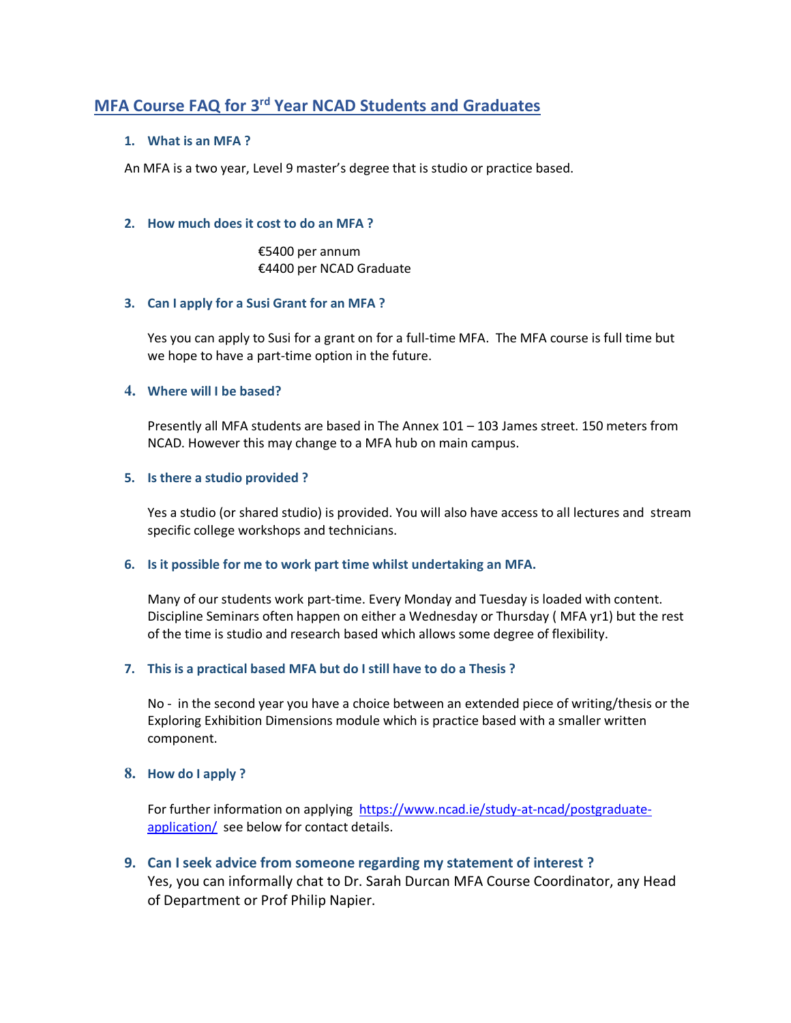# **MFA Course FAQ for 3rd Year NCAD Students and Graduates**

## **1. What is an MFA ?**

An MFA is a two year, Level 9 master's degree that is studio or practice based.

#### **2. How much does it cost to do an MFA ?**

 €5400 per annum €4400 per NCAD Graduate

## **3. Can I apply for a Susi Grant for an MFA ?**

Yes you can apply to Susi for a grant on for a full-time MFA. The MFA course is full time but we hope to have a part-time option in the future.

## **4. Where will I be based?**

Presently all MFA students are based in The Annex 101 – 103 James street. 150 meters from NCAD. However this may change to a MFA hub on main campus.

## **5. Is there a studio provided ?**

Yes a studio (or shared studio) is provided. You will also have access to all lectures and stream specific college workshops and technicians.

## **6. Is it possible for me to work part time whilst undertaking an MFA.**

Many of our students work part-time. Every Monday and Tuesday is loaded with content. Discipline Seminars often happen on either a Wednesday or Thursday ( MFA yr1) but the rest of the time is studio and research based which allows some degree of flexibility.

## **7. This is a practical based MFA but do I still have to do a Thesis ?**

No - in the second year you have a choice between an extended piece of writing/thesis or the Exploring Exhibition Dimensions module which is practice based with a smaller written component.

#### **8. How do I apply ?**

For further information on applying https://www.ncad.ie/study-at-ncad/postgraduateapplication/ see below for contact details.

## **9. Can I seek advice from someone regarding my statement of interest ?**

Yes, you can informally chat to Dr. Sarah Durcan MFA Course Coordinator, any Head of Department or Prof Philip Napier.